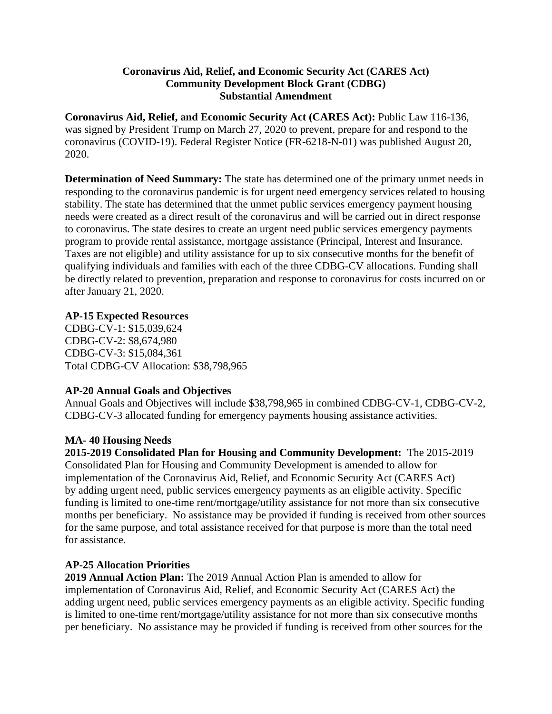### **Coronavirus Aid, Relief, and Economic Security Act (CARES Act) Community Development Block Grant (CDBG) Substantial Amendment**

**Coronavirus Aid, Relief, and Economic Security Act (CARES Act):** Public Law 116-136, was signed by President Trump on March 27, 2020 to prevent, prepare for and respond to the coronavirus (COVID-19). Federal Register Notice (FR-6218-N-01) was published August 20, 2020.

**Determination of Need Summary:** The state has determined one of the primary unmet needs in responding to the coronavirus pandemic is for urgent need emergency services related to housing stability. The state has determined that the unmet public services emergency payment housing needs were created as a direct result of the coronavirus and will be carried out in direct response to coronavirus. The state desires to create an urgent need public services emergency payments program to provide rental assistance, mortgage assistance (Principal, Interest and Insurance. Taxes are not eligible) and utility assistance for up to six consecutive months for the benefit of qualifying individuals and families with each of the three CDBG-CV allocations. Funding shall be directly related to prevention, preparation and response to coronavirus for costs incurred on or after January 21, 2020.

#### **AP-15 Expected Resources**

CDBG-CV-1: \$15,039,624 CDBG-CV-2: \$8,674,980 CDBG-CV-3: \$15,084,361 Total CDBG-CV Allocation: \$38,798,965

#### **AP-20 Annual Goals and Objectives**

Annual Goals and Objectives will include \$38,798,965 in combined CDBG-CV-1, CDBG-CV-2, CDBG-CV-3 allocated funding for emergency payments housing assistance activities.

#### **MA- 40 Housing Needs**

**2015-2019 Consolidated Plan for Housing and Community Development:** The 2015-2019 Consolidated Plan for Housing and Community Development is amended to allow for implementation of the Coronavirus Aid, Relief, and Economic Security Act (CARES Act) by adding urgent need, public services emergency payments as an eligible activity. Specific funding is limited to one-time rent/mortgage/utility assistance for not more than six consecutive months per beneficiary. No assistance may be provided if funding is received from other sources for the same purpose, and total assistance received for that purpose is more than the total need for assistance.

## **AP-25 Allocation Priorities**

**2019 Annual Action Plan:** The 2019 Annual Action Plan is amended to allow for implementation of Coronavirus Aid, Relief, and Economic Security Act (CARES Act) the adding urgent need, public services emergency payments as an eligible activity. Specific funding is limited to one-time rent/mortgage/utility assistance for not more than six consecutive months per beneficiary. No assistance may be provided if funding is received from other sources for the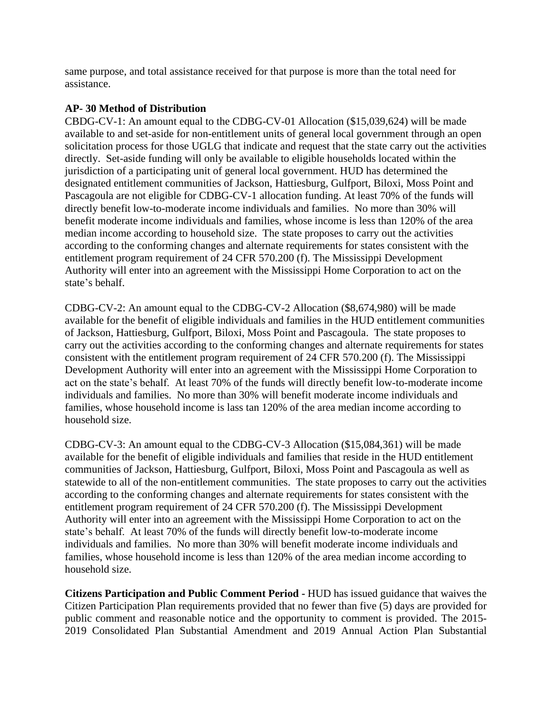same purpose, and total assistance received for that purpose is more than the total need for assistance.

# **AP- 30 Method of Distribution**

CBDG-CV-1: An amount equal to the CDBG-CV-01 Allocation (\$15,039,624) will be made available to and set-aside for non-entitlement units of general local government through an open solicitation process for those UGLG that indicate and request that the state carry out the activities directly. Set-aside funding will only be available to eligible households located within the jurisdiction of a participating unit of general local government. HUD has determined the designated entitlement communities of Jackson, Hattiesburg, Gulfport, Biloxi, Moss Point and Pascagoula are not eligible for CDBG-CV-1 allocation funding. At least 70% of the funds will directly benefit low-to-moderate income individuals and families. No more than 30% will benefit moderate income individuals and families, whose income is less than 120% of the area median income according to household size. The state proposes to carry out the activities according to the conforming changes and alternate requirements for states consistent with the entitlement program requirement of 24 CFR 570.200 (f). The Mississippi Development Authority will enter into an agreement with the Mississippi Home Corporation to act on the state's behalf.

CDBG-CV-2: An amount equal to the CDBG-CV-2 Allocation (\$8,674,980) will be made available for the benefit of eligible individuals and families in the HUD entitlement communities of Jackson, Hattiesburg, Gulfport, Biloxi, Moss Point and Pascagoula. The state proposes to carry out the activities according to the conforming changes and alternate requirements for states consistent with the entitlement program requirement of 24 CFR 570.200 (f). The Mississippi Development Authority will enter into an agreement with the Mississippi Home Corporation to act on the state's behalf. At least 70% of the funds will directly benefit low-to-moderate income individuals and families. No more than 30% will benefit moderate income individuals and families, whose household income is lass tan 120% of the area median income according to household size.

CDBG-CV-3: An amount equal to the CDBG-CV-3 Allocation (\$15,084,361) will be made available for the benefit of eligible individuals and families that reside in the HUD entitlement communities of Jackson, Hattiesburg, Gulfport, Biloxi, Moss Point and Pascagoula as well as statewide to all of the non-entitlement communities. The state proposes to carry out the activities according to the conforming changes and alternate requirements for states consistent with the entitlement program requirement of 24 CFR 570.200 (f). The Mississippi Development Authority will enter into an agreement with the Mississippi Home Corporation to act on the state's behalf. At least 70% of the funds will directly benefit low-to-moderate income individuals and families. No more than 30% will benefit moderate income individuals and families, whose household income is less than 120% of the area median income according to household size.

**Citizens Participation and Public Comment Period -** HUD has issued guidance that waives the Citizen Participation Plan requirements provided that no fewer than five (5) days are provided for public comment and reasonable notice and the opportunity to comment is provided. The 2015- 2019 Consolidated Plan Substantial Amendment and 2019 Annual Action Plan Substantial